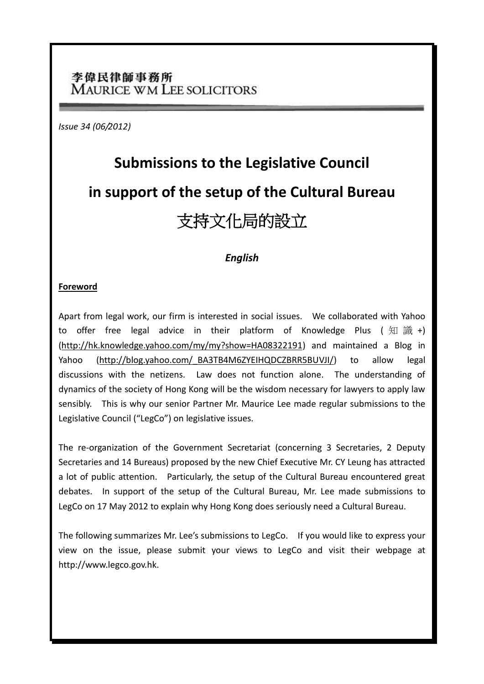# 李偉民律師事務所 **MAURICE WM LEE SOLICITORS**

*Issue 34 (06/2012)*

# **Submissions to the Legislative Council in support of the setup of the Cultural Bureau** 支持文化局的設立

# *English*

# **Foreword**

Apart from legal work, our firm is interested in social issues. We collaborated with Yahoo to offer free legal advice in their platform of Knowledge Plus (知識+) [\(http://hk.knowledge.yahoo.com/my/my?show=HA08322191\)](http://hk.knowledge.yahoo.com/my/my?show=HA08322191) and maintained a Blog in Yahoo [\(http://blog.yahoo.com/\\_BA3TB4M6ZYEIHQDCZBRR5BUVJI/\)](http://blog.yahoo.com/_BA3TB4M6ZYEIHQDCZBRR5BUVJI/) to allow legal discussions with the netizens. Law does not function alone. The understanding of dynamics of the society of Hong Kong will be the wisdom necessary for lawyers to apply law sensibly. This is why our senior Partner Mr. Maurice Lee made regular submissions to the Legislative Council ("LegCo") on legislative issues.

The re-organization of the Government Secretariat (concerning 3 Secretaries, 2 Deputy Secretaries and 14 Bureaus) proposed by the new Chief Executive Mr. CY Leung has attracted a lot of public attention. Particularly, the setup of the Cultural Bureau encountered great debates. In support of the setup of the Cultural Bureau, Mr. Lee made submissions to LegCo on 17 May 2012 to explain why Hong Kong does seriously need a Cultural Bureau.

The following summarizes Mr. Lee's submissions to LegCo. If you would like to express your view on the issue, please submit your views to LegCo and visit their webpage at http://www.legco.gov.hk.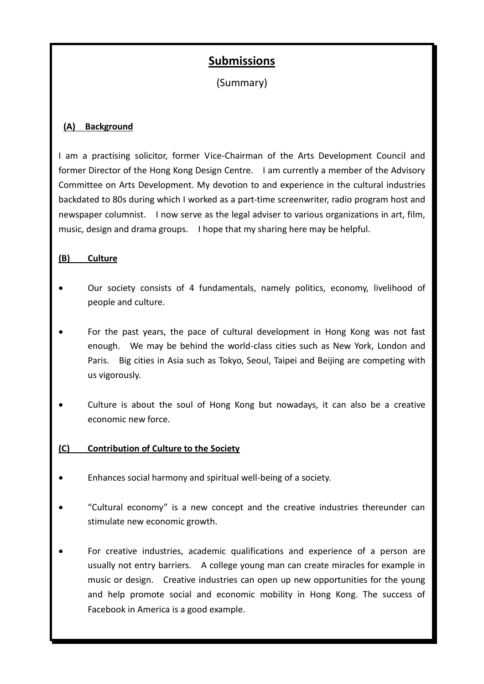# **Submissions**

(Summary)

# **(A) Background**

I am a practising solicitor, former Vice-Chairman of the Arts Development Council and former Director of the Hong Kong Design Centre. I am currently a member of the Advisory Committee on Arts Development. My devotion to and experience in the cultural industries backdated to 80s during which I worked as a part-time screenwriter, radio program host and newspaper columnist. I now serve as the legal adviser to various organizations in art, film, music, design and drama groups. I hope that my sharing here may be helpful.

### **(B) Culture**

- Our society consists of 4 fundamentals, namely politics, economy, livelihood of people and culture.
- For the past years, the pace of cultural development in Hong Kong was not fast enough. We may be behind the world-class cities such as New York, London and Paris. Big cities in Asia such as Tokyo, Seoul, Taipei and Beijing are competing with us vigorously.
- Culture is about the soul of Hong Kong but nowadays, it can also be a creative economic new force.

# **(C) Contribution of Culture to the Society**

- Enhances social harmony and spiritual well-being of a society.
- "Cultural economy" is a new concept and the creative industries thereunder can stimulate new economic growth.
- For creative industries, academic qualifications and experience of a person are usually not entry barriers. A college young man can create miracles for example in music or design. Creative industries can open up new opportunities for the young and help promote social and economic mobility in Hong Kong. The success of Facebook in America is a good example.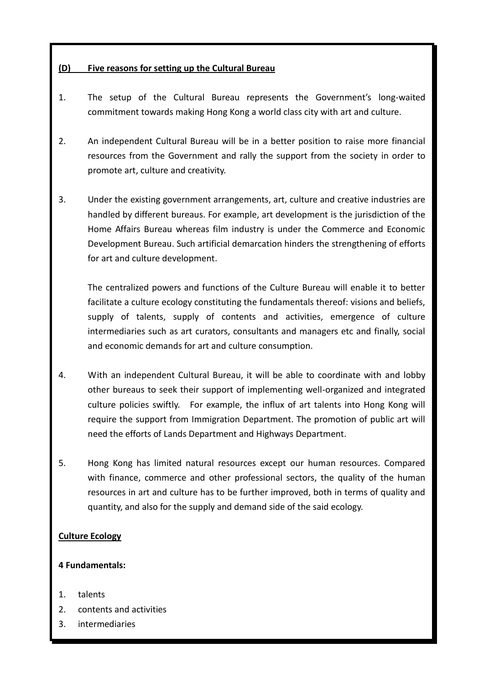# **(D) Five reasons for setting up the Cultural Bureau**

- 1. The setup of the Cultural Bureau represents the Government's long-waited commitment towards making Hong Kong a world class city with art and culture.
- 2. An independent Cultural Bureau will be in a better position to raise more financial resources from the Government and rally the support from the society in order to promote art, culture and creativity.
- 3. Under the existing government arrangements, art, culture and creative industries are handled by different bureaus. For example, art development is the jurisdiction of the Home Affairs Bureau whereas film industry is under the Commerce and Economic Development Bureau. Such artificial demarcation hinders the strengthening of efforts for art and culture development.

The centralized powers and functions of the Culture Bureau will enable it to better facilitate a culture ecology constituting the fundamentals thereof: visions and beliefs, supply of talents, supply of contents and activities, emergence of culture intermediaries such as art curators, consultants and managers etc and finally, social and economic demands for art and culture consumption.

- 4. With an independent Cultural Bureau, it will be able to coordinate with and lobby other bureaus to seek their support of implementing well-organized and integrated culture policies swiftly. For example, the influx of art talents into Hong Kong will require the support from Immigration Department. The promotion of public art will need the efforts of Lands Department and Highways Department.
- 5. Hong Kong has limited natural resources except our human resources. Compared with finance, commerce and other professional sectors, the quality of the human resources in art and culture has to be further improved, both in terms of quality and quantity, and also for the supply and demand side of the said ecology.

# **Culture Ecology**

# **4 Fundamentals:**

- 1. talents
- 2. contents and activities
- 3. intermediaries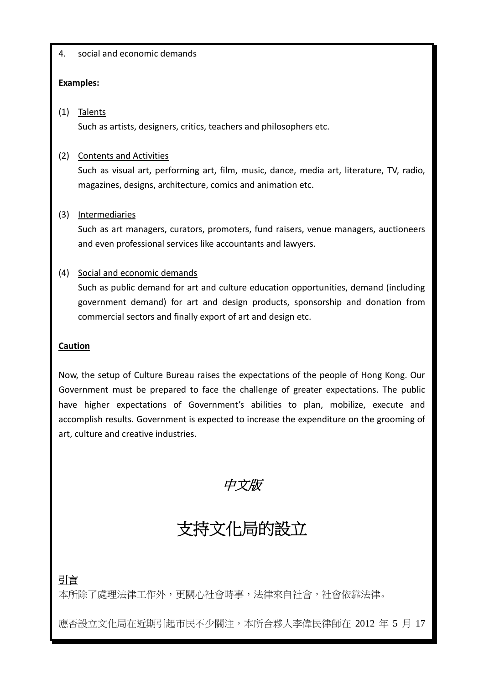# 4. social and economic demands

# **Examples:**

# (1) Talents

Such as artists, designers, critics, teachers and philosophers etc.

# (2) Contents and Activities

Such as visual art, performing art, film, music, dance, media art, literature, TV, radio, magazines, designs, architecture, comics and animation etc.

# (3) Intermediaries

Such as art managers, curators, promoters, fund raisers, venue managers, auctioneers and even professional services like accountants and lawyers.

# (4) Social and economic demands

Such as public demand for art and culture education opportunities, demand (including government demand) for art and design products, sponsorship and donation from commercial sectors and finally export of art and design etc.

# **Caution**

Now, the setup of Culture Bureau raises the expectations of the people of Hong Kong. Our Government must be prepared to face the challenge of greater expectations. The public have higher expectations of Government's abilities to plan, mobilize, execute and accomplish results. Government is expected to increase the expenditure on the grooming of art, culture and creative industries.

中文版

# 支持文化局的設立

# 引言

本所除了處理法律工作外,更關心社會時事,法律來自社會,社會依靠法律。

應否設立文化局在近期引起市民不少關注,本所合夥人李偉民律師在 2012 年 5 月 17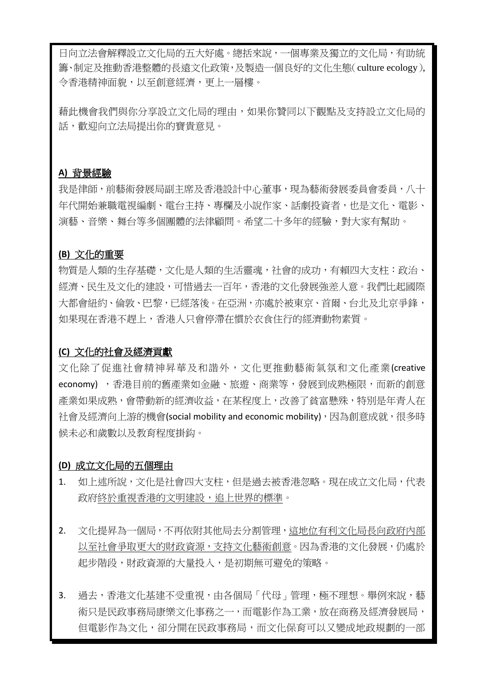日向立法會解釋設立文化局的五大好處。總括來說,一個專業及獨立的文化局,有助統 籌、制定及推動香港整體的長遠文化政策,及製造一個良好的文化生態(culture ecology), 令香港精神面貌,以至創意經濟,更上一層樓。

藉此機會我們與你分享設立文化局的理由,如果你贊同以下觀點及支持設立文化局的 話,歡迎向立法局提出你的寶貴意見。

# **A)** 背景經驗

我是律師,前藝術發展局副主席及香港設計中心董事,現為藝術發展委員會委員,八十 年代開始兼職電視編劇、電台主持、專欄及小說作家、話劇投資者,也是文化、電影、 演藝、音樂、舞台等多個團體的法律顧問。希望二十多年的經驗,對大家有幫助。

### **(B)** 文化的重要

物質是人類的生存基礎,文化是人類的生活靈魂,社會的成功,有賴四大支柱:政治、 經濟、民生及文化的建設,可惜過去一百年,香港的文化發展強差人意。我們比起國際 大都會紐約、倫敦、巴黎,已經落後。在亞洲,亦處於被東京、首爾、台北及北京爭鋒, 如果現在香港不趕上,香港人只會停滯在慣於衣食住行的經濟動物素質。

#### **(C)** 文化的社會及經濟貢獻

文化除了促進社會精神昇華及和諧外,文化更推動藝術氣氛和文化產業(creative economy) , 香港目前的舊產業如金融、旅遊、商業等, 發展到成熟極限, 而新的創意 產業如果成熟,會帶動新的經濟收益,在某程度上,改善了貧富懸殊,特別是年青人在 社會及經濟向上游的機會(social mobility and economic mobility),因為創意成就,很多時 候未必和歲數以及教育程度掛鈎。

#### **(D)** 成立文化局的五個理由

- 1. 如上述所說,文化是社會四大支柱,但是過去被香港忽略。現在成立文化局,代表 政府終於重視香港的文明建設,追上世界的標準。
- 2. 文化提昇為一個局,不再依附其他局去分割管理,這地位有利文化局長向政府內部 以至社會爭取更大的財政資源,支持文化藝術創意。因為香港的文化發展,仍處於 起步階段,財政資源的大量投入,是初期無可避免的策略。
- 3. 過去,香港文化基建不受重視,由各個局「代母」管理,極不理想。舉例來說,藝 術只是民政事務局康樂文化事務之一,而電影作為工業,放在商務及經濟發展局, 但電影作為文化,卻分開在民政事務局,而文化保育可以又變成地政規劃的一部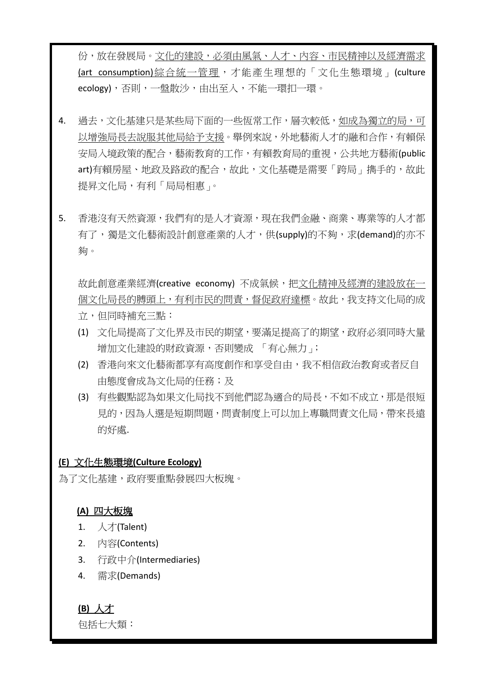份,放在發展局。文化的建設,必須由風氣、人才、內容、市民精神以及經濟需求 (art consumption)綜合統一管理,才能產生理想的「文化生態環境」(culture ecology),否則,一盤散沙,由出至入,不能一環扣一環。

- 4. 過去,文化基建只是某些局下面的一些恆常工作,層次較低,如成為獨立的局,可 以增強局長去說服其他局給予支援。舉例來說,外地藝術人才的融和合作,有賴保 安局入境政策的配合,藝術教育的工作,有賴教育局的重視,公共地方藝術(public art)有賴房屋、地政及路政的配合,故此,文化基礎是需要「跨局」擕手的,故此 提昇文化局,有利「局局相惠」。
- 5. 香港沒有天然資源,我們有的是人才資源,現在我們金融、商業、專業等的人才都 有了,獨是文化藝術設計創意產業的人才,供(supply)的不夠,求(demand)的亦不 夠。

故此創意產業經濟(creative economy) 不成氣候,把文化精神及經濟的建設放在一 個文化局長的膊頭上,有利市民的問責,督促政府達標。故此,我支持文化局的成 立,但同時補充三點:

- (1) 文化局提高了文化界及市民的期望,要滿足提高了的期望,政府必須同時大量 增加文化建設的財政資源,否則變成 「有心無力」;
- (2) 香港向來文化藝術都享有高度創作和享受自由,我不相信政治教育或者反自 中態度會成為文化局的任務;及
- (3) 有些觀點認為如果文化局找不到他們認為適合的局長,不如不成立,那是很短 見的,因為人選是短期問題,問責制度上可以加上專職問責文化局,帶來長遠 的好處.

# **(E)** 文化生態環境**(Culture Ecology)**

為了文化基建,政府要重點發展四大板塊。

#### **(A)** 四大板塊

- 1. 人才(Talent)
- 2. 內容(Contents)
- 3. 行政中介(Intermediaries)
- 4. 需求(Demands)

# **(B)** 人才

包括七大類: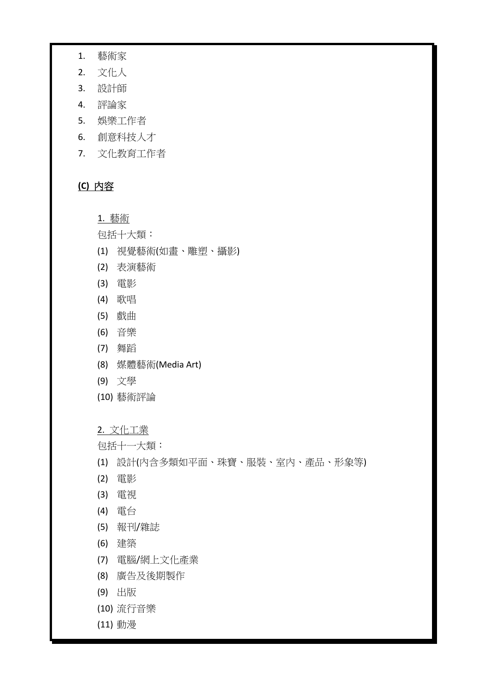- 1. 藝術家
- 2. 文化人
- 3. 設計師
- 4. 評論家
- 5. 娛樂工作者
- 6. 創意科技人才
- 7. 文化教育工作者

# **(C)** 內容

# 1. 藝術

包括十大類:

- (1) 視覺藝術(如畫、雕塑、攝影)
- (2) 表演藝術
- (3) 電影
- (4) 歌唱
- (5) 戲曲
- (6) 音樂
- (7) 舞蹈
- (8) 媒體藝術(Media Art)
- (9) 文學
- (10) 藝術評論

### 2. 文化工業

包括十一大類:

- (1) 設計(內含多類如平面、珠寶、服裝、室內、產品、形象等)
- (2) 電影
- (3) 電視
- (4) 電台
- (5) 報刊/雜誌
- (6) 建築
- (7) 電腦/網上文化產業
- (8) 廣告及後期製作
- (9) 出版
- (10) 流行音樂
- (11) 動漫